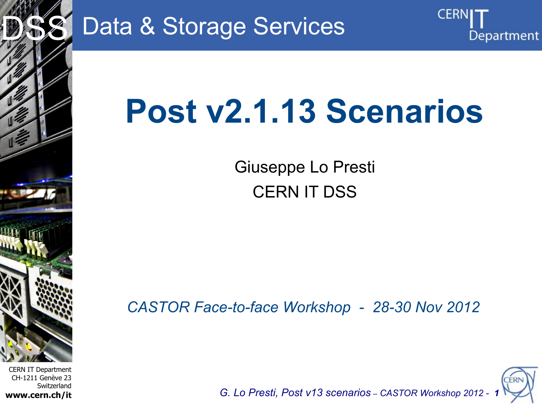

# Data & Storage Services



Giuseppe Lo Presti CERN IT DSS

*CASTOR Face-to-face Workshop - 28-30 Nov 2012*



CERI

Department

*G. Lo Presti, Post v13 scenarios – CASTOR Workshop 2012 - 1*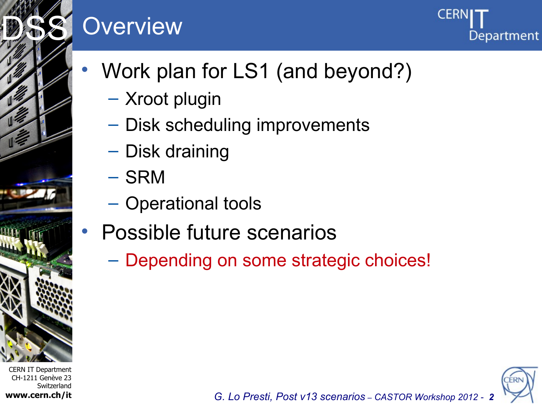# **Overview**



- Work plan for LS1 (and beyond?)
	- Xroot plugin
	- Disk scheduling improvements
	- Disk draining
	- SRM
	- Operational tools
- Possible future scenarios
	- Depending on some strategic choices!



*G. Lo Presti, Post v13 scenarios – CASTOR Workshop 2012 - 2*

CERN IT Department CH-1211 Genève 23 Switzerland **www.cern.ch/it**

Internet Services of the Services

DSS<sup>S</sup>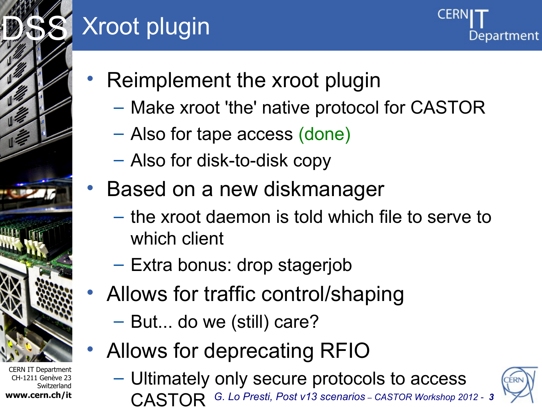

# Xroot plugin



- Reimplement the xroot plugin
	- Make xroot 'the' native protocol for CASTOR
	- Also for tape access (done)
	- Also for disk-to-disk copy
- Based on a new diskmanager
	- the xroot daemon is told which file to serve to which client
	- Extra bonus: drop stagerjob
- Allows for traffic control/shaping
	- But... do we (still) care?
- Allows for deprecating RFIO
	- Ultimately only secure protocols to access
		- *G. Lo Presti, Post v13 scenarios – CASTOR Workshop 2012 - 3* CASTOR



CERN IT Department CH-1211 Genève 23 Switzerland **www.cern.ch/it**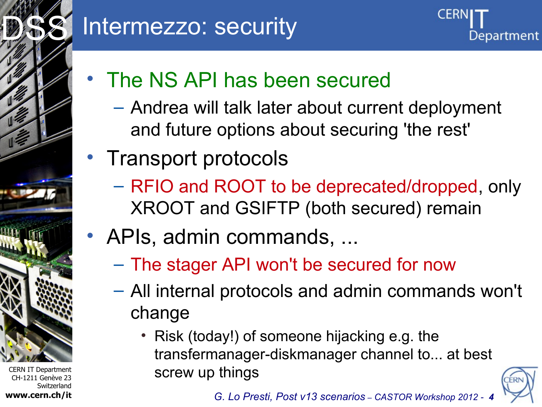

### Intermezzo: security



- The NS API has been secured
	- Andrea will talk later about current deployment and future options about securing 'the rest'
- Transport protocols
	- RFIO and ROOT to be deprecated/dropped, only XROOT and GSIFTP (both secured) remain
- APIs, admin commands, ...
	- The stager API won't be secured for now
	- All internal protocols and admin commands won't change
		- Risk (today!) of someone hijacking e.g. the transfermanager-diskmanager channel to... at best screw up things

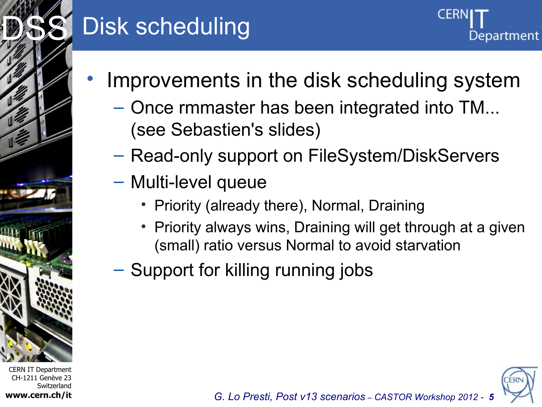

## Disk scheduling

- Improvements in the disk scheduling system
	- Once rmmaster has been integrated into TM... (see Sebastien's slides)
	- Read-only support on FileSystem/DiskServers
	- Multi-level queue
		- Priority (already there), Normal, Draining
		- Priority always wins, Draining will get through at a given (small) ratio versus Normal to avoid starvation
	- Support for killing running jobs

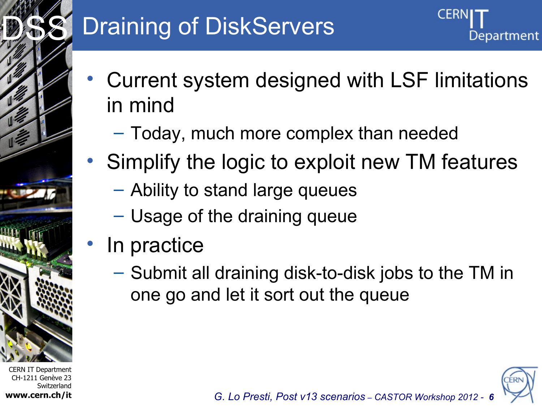# **Draining of DiskServers**

Department

- Current system designed with LSF limitations in mind
	- Today, much more complex than needed
- Simplify the logic to exploit new TM features
	- Ability to stand large queues
	- Usage of the draining queue
- In practice

CERN IT Department CH-1211 Genève 23

Internet Services of the Services

DSS<sup>S</sup>

**www.cern.ch/it**

Switzerland

– Submit all draining disk-to-disk jobs to the TM in one go and let it sort out the queue

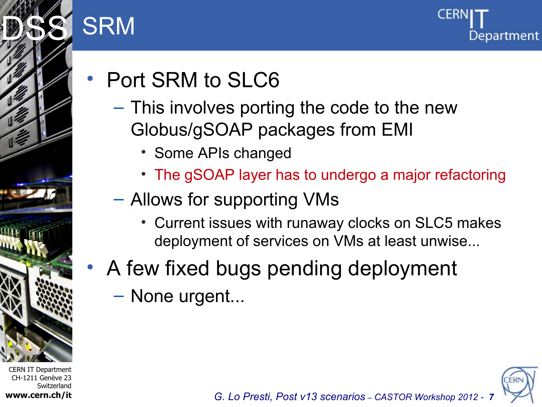

CH-1211 Genève 23

**www.cern.ch/it**

Switzerland

## **SRM**



- Port SRM to SLC6
	- This involves porting the code to the new Globus/gSOAP packages from EMI
		- Some APIs changed
		- The gSOAP layer has to undergo a major refactoring
	- Allows for supporting VMs
		- Current issues with runaway clocks on SLC5 makes deployment of services on VMs at least unwise...
- A few fixed bugs pending deployment
	- None urgent...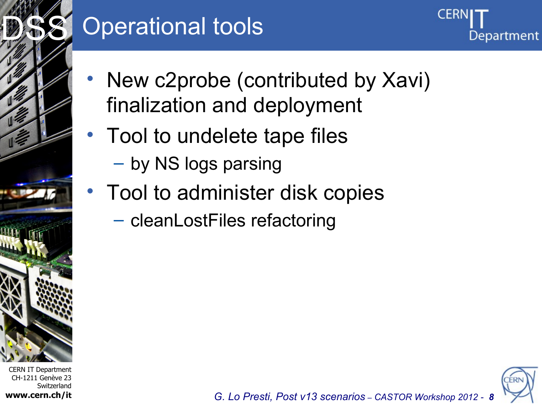

### Operational tools



- New c2probe (contributed by Xavi) finalization and deployment
- Tool to undelete tape files
	- by NS logs parsing
- Tool to administer disk copies
	- cleanLostFiles refactoring

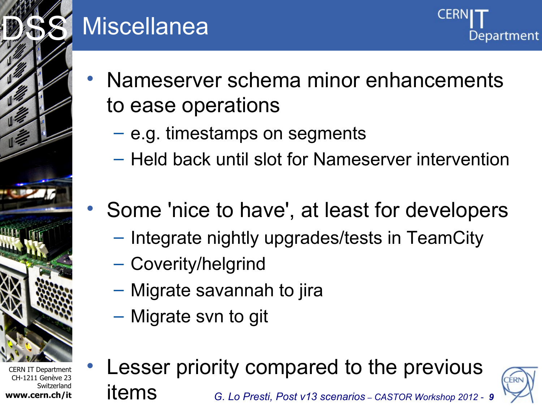

### Miscellanea

- Nameserver schema minor enhancements to ease operations
	- e.g. timestamps on segments
	- Held back until slot for Nameserver intervention
- Some 'nice to have', at least for developers
	- Integrate nightly upgrades/tests in TeamCity
	- Coverity/helgrind
	- Migrate savannah to jira
	- Migrate svn to git

CERN IT Department CH-1211 Genève 23 Switzerland **www.cern.ch/it**

*G. Lo Presti, Post v13 scenarios – CASTOR Workshop 2012 - 9* Lesser priority compared to the previous items

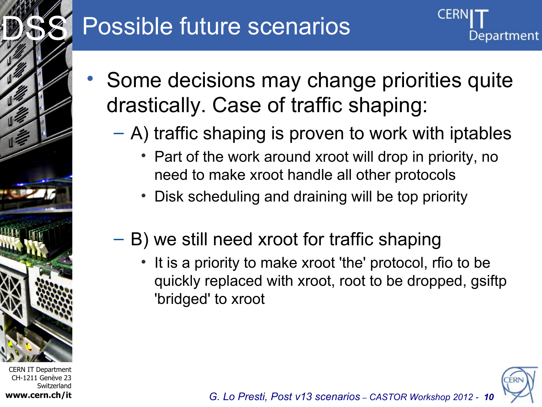

## Possible future scenarios



- Some decisions may change priorities quite drastically. Case of traffic shaping:
	- A) traffic shaping is proven to work with iptables
		- Part of the work around xroot will drop in priority, no need to make xroot handle all other protocols
		- Disk scheduling and draining will be top priority
	- B) we still need xroot for traffic shaping
		- It is a priority to make xroot 'the' protocol, rfio to be quickly replaced with xroot, root to be dropped, gsiftp 'bridged' to xroot

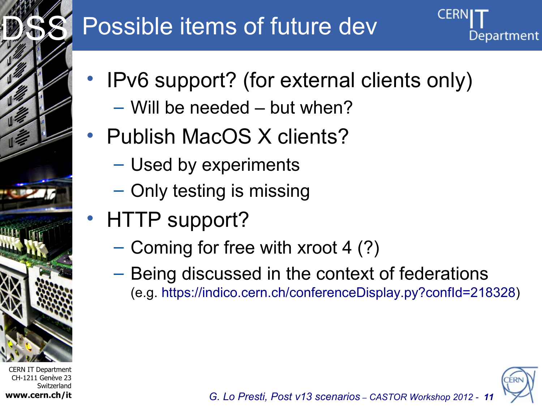

# Possible items of future dev

- IPv6 support? (for external clients only)
	- Will be needed but when?
- Publish MacOS X clients?
	- Used by experiments
	- Only testing is missing
- HTTP support?
	- Coming for free with xroot 4 (?)
	- Being discussed in the context of federations (e.g. [https://indico.cern.ch/conferenceDisplay.py?confId=218328\)](https://indico.cern.ch/conferenceDisplay.py?confId=218328)

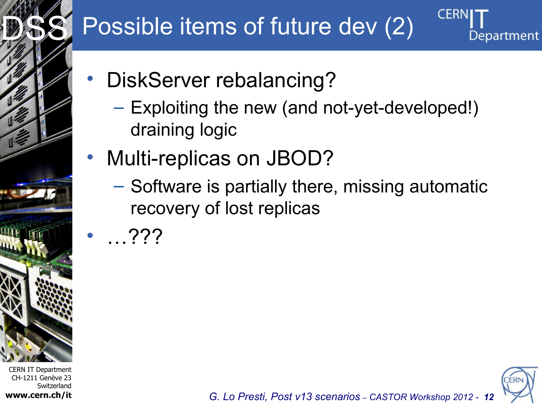

# Possible items of future dev (2)

- DiskServer rebalancing?
	- Exploiting the new (and not-yet-developed!) draining logic
- Multi-replicas on JBOD?
	- Software is partially there, missing automatic recovery of lost replicas
	- $\ldots$ ???